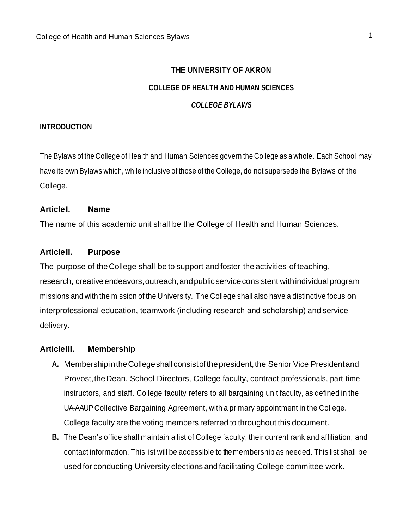# **THE UNIVERSITY OF AKRON COLLEGE OF HEALTH AND HUMAN SCIENCES** *COLLEGE BYLAWS*

#### **INTRODUCTION**

The Bylaws of the College of Health and Human Sciences govern the College as a whole. Each School may have its own Bylaws which, while inclusive of those of the College, do not supersede the Bylaws of the College.

#### **ArticleI. Name**

The name of this academic unit shall be the College of Health and Human Sciences.

#### **ArticleII. Purpose**

The purpose of theCollege shall be to support and foster the activities of teaching, research, creative endeavors, outreach, and public service consistent with individual program missions and with the mission of the University. The College shall also have a distinctive focus on interprofessional education, teamwork (including research and scholarship) and service delivery.

#### **ArticleIII. Membership**

- A. Membership in the College shall consist of the president, the Senior Vice President and Provost,theDean, School Directors, College faculty, contract professionals, part-time instructors, and staff. College faculty refers to all bargaining unit faculty, as defined in the UA-AAUP Collective Bargaining Agreement, with a primary appointment in the College. College faculty are the voting members referred to throughout this document.
- **B.** The Dean's office shall maintain a list of College faculty, their current rank and affiliation, and contact information. This list will be accessible to the membership as needed. This list shall be used for conducting University elections and facilitating College committee work.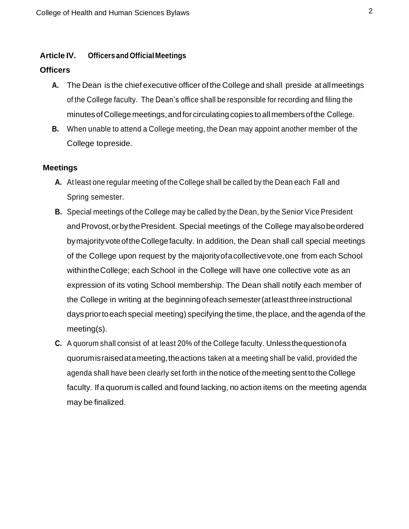#### **Article IV. Officers and OfficialMeetings**

#### **Officers**

- **A.** The Dean is the chief executive officer of the College and shall preside at allmeetings of the College faculty. The Dean's office shall be responsible for recording and filing the minutes of College meetings, and for circulating copies to all members of the College.
- **B.** When unable to attend a College meeting, the Dean may appoint another member of the College topreside.

#### **Meetings**

- **A.** At least one regular meeting of the College shall be called by the Dean each Fall and Spring semester.
- **B.** Special meetings of the College may be called by the Dean, by the Senior Vice President andProvost,orbythePresident. Special meetings of the College mayalsobeordered bymajorityvoteoftheCollegefaculty. In addition, the Dean shall call special meetings of the College upon request by the majorityofacollectivevote,one from each School withintheCollege; each School in the College will have one collective vote as an expression of its voting School membership. The Dean shall notify each member of the College in writing at the beginningofeachsemester(atleastthreeinstructional dayspriortoeachspecial meeting) specifying the time, the place, and the agenda of the meeting(s).
- **C.** A quorum shall consist of at least 20% of the College faculty. Unlessthequestionofa quorumisraisedatameeting,theactions taken at a meeting shall be valid, provided the agenda shall have been clearly set forth in the notice ofthe meeting sent to the College faculty. If a quorum is called and found lacking, no action items on the meeting agenda may be finalized.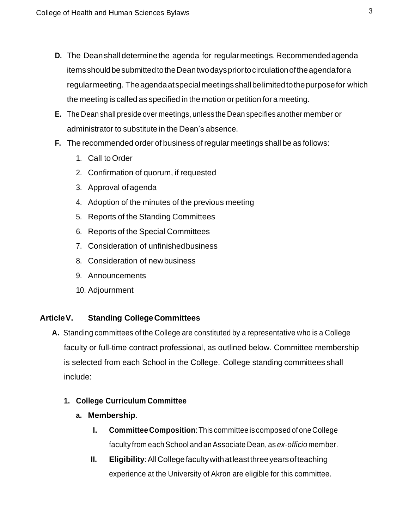- **D.** The Deanshall determine the agenda for regular meetings. Recommendedagenda itemsshouldbesubmittedtotheDeantwodayspriortocirculationoftheagendafora regularmeeting. Theagendaatspecialmeetingsshallbelimitedtothepurposefor which the meeting is called as specified in the motion or petition for a meeting.
- **E.** The Dean shall preside over meetings, unless the Dean specifies another member or administrator to substitute in the Dean's absence.
- **F.** The recommended order of business ofregular meetings shall be as follows:
	- 1. Call to Order
	- 2. Confirmation of quorum, if requested
	- 3. Approval of agenda
	- 4. Adoption of the minutes of the previous meeting
	- 5. Reports of the Standing Committees
	- 6. Reports of the Special Committees
	- 7. Consideration of unfinishedbusiness
	- 8. Consideration of newbusiness
	- 9. Announcements
	- 10. Adjournment

## **ArticleV. Standing CollegeCommittees**

**A.** Standing committees of the College are constituted by a representative who is a College faculty or full-time contract professional, as outlined below. Committee membership is selected from each School in the College. College standing committees shall include:

# **1. College Curriculum Committee**

- **a. Membership**.
	- **I. CommitteeComposition**:This committee iscomposed ofoneCollege faculty from each School and an Associate Dean, as *ex-officio* member.
	- **II. Eligibility**:AllCollegefacultywithatleastthreeyearsofteaching experience at the University of Akron are eligible for this committee.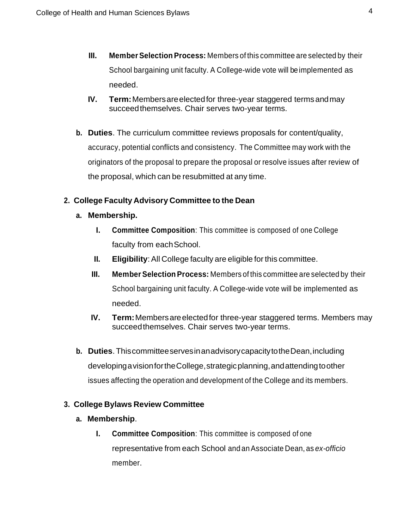- **III.** Member Selection Process: Members of this committee are selected by their School bargaining unit faculty. A College-wide vote will be implemented as needed.
- **IV. Term:**Membersareelectedfor three-year staggered termsandmay succeedthemselves. Chair serves two-year terms.
- **b. Duties**. The curriculum committee reviews proposals for content/quality, accuracy, potential conflicts and consistency. The Committee may work with the originators of the proposal to prepare the proposal or resolve issues after review of the proposal, which can be resubmitted at any time.

# **2. College Faculty Advisory Committee to the Dean**

- **a. Membership.**
	- **I. Committee Composition**: This committee is composed of one College faculty from each School.
	- **II. Eligibility**: All College faculty are eligible for this committee.
	- **III.** Member Selection Process: Members of this committee are selected by their School bargaining unit faculty. A College-wide vote will be implemented as needed.
	- **IV. Term:** Members are elected for three-year staggered terms. Members may succeedthemselves. Chair serves two-year terms.
- **b. Duties**. ThiscommitteeservesinanadvisorycapacitytotheDean,including developingavisionfortheCollege,strategicplanning,andattendingtoother issues affecting the operation and development of the College and its members.

# **3. College Bylaws Review Committee**

- **a. Membership**.
	- **I. Committee Composition**: This committee is composed of one representative from each School and anAssociate Dean, as *ex-officio* member.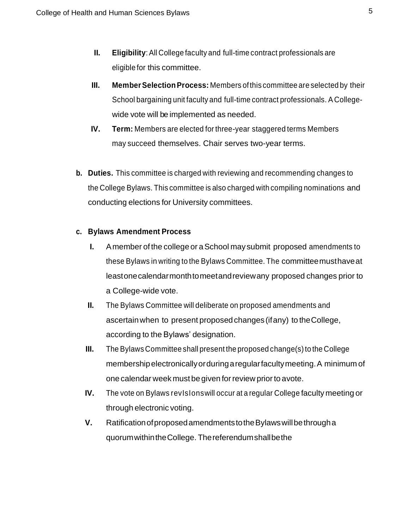- **II. Eligibility:** All College faculty and full-time contract professionals are eligible for this committee.
- **III.** Member Selection Process: Members of this committee are selected by their School bargaining unit faculty and full-time contract professionals. A Collegewide vote will be implemented as needed.
- **IV. Term:** Members are elected for three-year staggered terms Members may succeed themselves. Chair serves two-year terms.
- **b. Duties.** This committee is charged with reviewing and recommending changes to the College Bylaws. This committee is also charged with compiling nominations and conducting elections for University committees.

# **c. Bylaws Amendment Process**

- **I.** Amember of the college or a School may submit proposed amendments to these Bylaws in writing to the Bylaws Committee. The committeemusthaveat leastonecalendarmonthtomeetandreviewany proposed changes prior to a College-wide vote.
- **II.** The Bylaws Committee will deliberate on proposed amendments and ascertainwhen to present proposedchanges (ifany) to theCollege, according to the Bylaws' designation.
- **III.** The Bylaws Committee shall present the proposed change(s) to the College membershipelectronicallyorduringaregularfacultymeeting.A minimum of one calendar week must begiven forreview priorto a vote.
- **IV.** The vote on Bylaws revisions will occur at a regular College faculty meeting or through electronic voting.
- **V.** RatificationofproposedamendmentstotheBylawswillbethrougha quorumwithintheCollege. Thereferendumshallbethe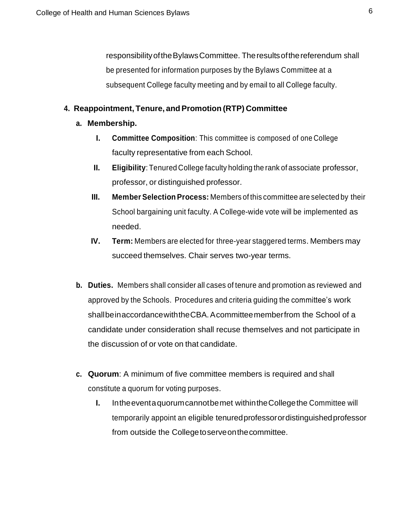responsibilityoftheBylawsCommittee. Theresultsofthereferendum shall be presented for information purposes by the Bylaws Committee at a subsequent College faculty meeting and by email to all College faculty.

## **4. Reappointment, Tenure, andPromotion (RTP) Committee**

- **a. Membership.**
	- **I. Committee Composition**: This committee is composed of one College faculty representative from each School.
	- **II. Eligibility**: Tenured College faculty holding the rank of associate professor, professor, or distinguished professor.
	- **III.** Member Selection Process: Members of this committee are selected by their School bargaining unit faculty. A College-wide vote will be implemented as needed.
	- **IV. Term:** Members are elected for three-year staggered terms. Members may succeed themselves. Chair serves two-year terms.
- **b. Duties.** Members shall consider all cases of tenure and promotion as reviewed and approved by the Schools. Procedures and criteria guiding the committee's work shallbeinaccordance with the CBA. A committeemember from the School of a candidate under consideration shall recuse themselves and not participate in the discussion of or vote on that candidate.
- **c. Quorum**: A minimum of five committee members is required and shall constitute a quorum for voting purposes.
	- **I.** Intheeventaquorumcannotbemet withintheCollegethe Committee will temporarily appoint an eligible tenuredprofessorordistinguishedprofessor from outside the Collegetoserveonthecommittee.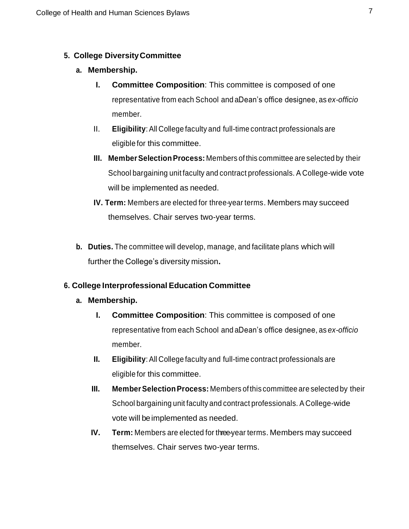## **5. College DiversityCommittee**

## **a. Membership.**

- **I. Committee Composition**: This committee is composed of one representative from each School and a Dean's office designee, as *ex-officio* member.
- II. **Eligibility**:All College faculty and full-time contract professionals are eligible for this committee.
- **III. Member Selection Process:** Members of this committee are selected by their School bargaining unit faculty and contract professionals. A College-wide vote will be implemented as needed.
- **IV. Term:** Members are elected for three-year terms. Members may succeed themselves. Chair serves two-year terms.
- **b. Duties.** The committee will develop, manage, and facilitate plans which will further the College's diversity mission**.**

## **6. College Interprofessional Education Committee**

## **a. Membership.**

- **I. Committee Composition**: This committee is composed of one representative from each School and a Dean's office designee, as *ex-officio* member.
- **II. Eligibility**: All College faculty and full-time contract professionals are eligible for this committee.
- **III.** Member Selection Process: Members of this committee are selected by their School bargaining unit faculty and contract professionals. A College-wide vote will be implemented as needed.
- **IV. Term:** Members are elected for three-year terms. Members may succeed themselves. Chair serves two-year terms.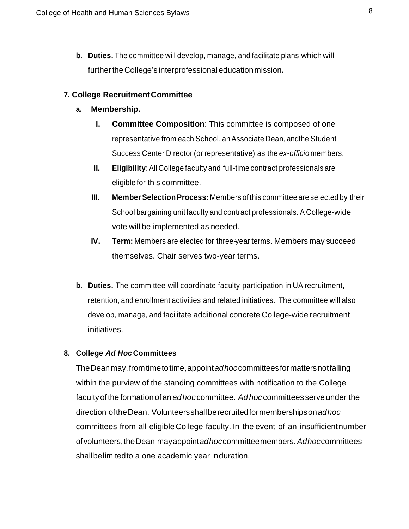**b. Duties.** The committee will develop, manage, and facilitate plans whichwill furthertheCollege's interprofessional educationmission**.**

#### **7. College RecruitmentCommittee**

#### **a. Membership.**

- **I. Committee Composition**: This committee is composed of one representative from each School, an Associate Dean, and the Student Success Center Director (or representative) as the *ex-officio* members.
- **II. Eligibility**: All College faculty and full-time contract professionals are eligible for this committee.
- **III.** Member Selection Process: Members of this committee are selected by their School bargaining unit faculty and contract professionals. A College-wide vote will be implemented as needed.
- **IV. Term:** Members are elected for three-year terms. Members may succeed themselves. Chair serves two-year terms.
- **b. Duties.** The committee will coordinate faculty participation in UA recruitment, retention, and enrollment activities and related initiatives. The committee will also develop, manage, and facilitate additional concrete College-wide recruitment initiatives.

#### **8. College** *Ad Hoc* **Committees**

TheDeanmay,fromtimetotime,appoint*adhoc*committeesformattersnotfalling within the purview of the standing committees with notification to the College facultyofthe formationofan*adhoc* committee. *Adhoc*committees serveunder the direction oftheDean. Volunteersshallberecruitedformembershipson*adhoc*  committees from all eligibleCollege faculty. In the event of an insufficientnumber ofvolunteers,theDean mayappoint*adhoc*committeemembers.*Adhoc*committees shallbelimitedto a one academic year induration.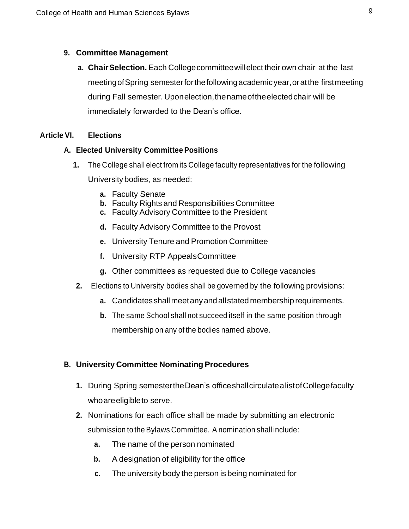## **9. Committee Management**

**a. ChairSelection.** Each Collegecommitteewillelect their own chair at the last meetingofSpring semesterforthefollowingacademicyear,oratthe firstmeeting during Fall semester. Uponelection,thenameoftheelectedchair will be immediately forwarded to the Dean's office.

# **Article VI. Elections**

## **A. Elected University CommitteePositions**

- **1.** The College shall elect from its College faculty representatives for the following University bodies, as needed:
	- **a.** Faculty Senate
	- **b.** Faculty Rights and Responsibilities Committee
	- **c.** Faculty Advisory Committee to the President
	- **d.** Faculty Advisory Committee to the Provost
	- **e.** University Tenure and Promotion Committee
	- **f.** University RTP AppealsCommittee
	- **g.** Other committees as requested due to College vacancies
- **2.** Elections to University bodies shall be governed by the following provisions:
	- **a.** Candidatesshallmeetanyandallstatedmembershiprequirements.
	- **b.** The same School shall not succeed itself in the same position through membership on any of the bodies named above.

# **B. University Committee Nominating Procedures**

- **1.** During Spring semestertheDean's officeshallcirculatealistofCollegefaculty whoareeligibleto serve.
- **2.** Nominations for each office shall be made by submitting an electronic submission to the Bylaws Committee. A nomination shall include:
	- **a.** The name of the person nominated
	- **b.** A designation of eligibility for the office
	- **c.** The university body the person is being nominated for